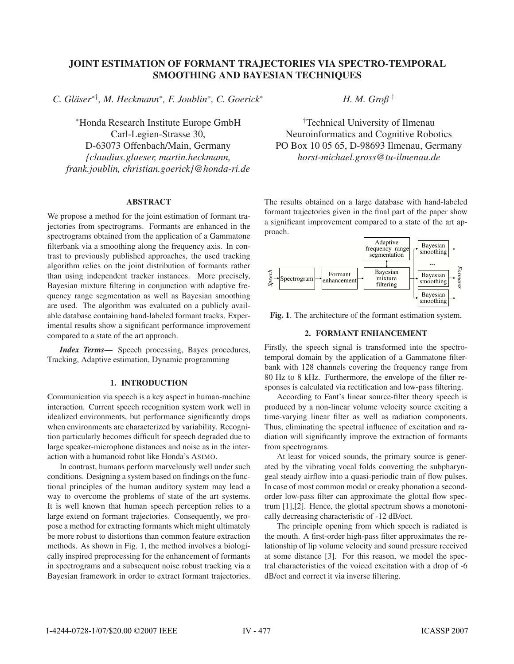# JOINT ESTIMATION OF FORMANT TRAJECTORIES VIA SPECTRO-TEMPORAL SMOOTHING AND BAYESIAN TECHNIQUES

*C. Gläser*∗†*, M. Heckmann*<sup>∗</sup>*, F. Joublin*<sup>∗</sup>*, C. Goerick*<sup>∗</sup>

<sup>∗</sup>Honda Research Institute Europe GmbH Carl-Legien-Strasse 30, D-63073 Offenbach/Main, Germany *{claudius.glaeser, martin.heckmann, frank.joublin, christian.goerick}@honda-ri.de*

### **ABSTRACT**

ABSTRACT We propose a method for the joint estimation of formant trajectories from spectrograms. Formants are enhanced in the spectrograms obtained from the application of a Gammatone filterbank via a smoothing along the frequency axis. In contrast to previously published approaches, the used tracking algorithm relies on the joint distribution of formants rather than using independent tracker instances. More precisely, Bayesian mixture filtering in conjunction with adaptive frequency range segmentation as well as Bayesian smoothing are used. The algorithm was evaluated on a publicly available database containing hand-labeled formant tracks. Experimental results show a significant performance improvement compared to a state of the art approach.

*Index Terms*— Speech processing, Bayes procedures, Tracking, Adaptive estimation, Dynamic programming

# 1. INTRODUCTION

Communication via speech is a key aspect in human-machine interaction. Current speech recognition system work well in idealized environments, but performance significantly drops when environments are characterized by variability. Recognition particularly becomes difficult for speech degraded due to large speaker-microphone distances and noise as in the interaction with a humanoid robot like Honda's ASIMO.

In contrast, humans perform marvelously well under such conditions. Designing a system based on findings on the functional principles of the human auditory system may lead a way to overcome the problems of state of the art systems. It is well known that human speech perception relies to a large extend on formant trajectories. Consequently, we propose a method for extracting formants which might ultimately be more robust to distortions than common feature extraction methods. As shown in Fig. 1, the method involves a biologically inspired preprocessing for the enhancement of formants in spectrograms and a subsequent noise robust tracking via a Bayesian framework in order to extract formant trajectories.

*H. M. Groß* †

† Technical University of Ilmenau Neuroinformatics and Cognitive Robotics PO Box 10 05 65, D-98693 Ilmenau, Germany *horst-michael.gross@tu-ilmenau.de*

The results obtained on a large database with hand-labeled formant trajectories given in the final part of the paper show a significant improvement compared to a state of the art approach.



Fig. 1. The architecture of the formant estimation system.

# 2. FORMANT ENHANCEMENT

Firstly, the speech signal is transformed into the spectrotemporal domain by the application of a Gammatone filterbank with 128 channels covering the frequency range from 80 Hz to 8 kHz. Furthermore, the envelope of the filter responses is calculated via rectification and low-pass filtering.

According to Fant's linear source-filter theory speech is produced by a non-linear volume velocity source exciting a time-varying linear filter as well as radiation components. Thus, eliminating the spectral influence of excitation and radiation will significantly improve the extraction of formants from spectrograms.

At least for voiced sounds, the primary source is generated by the vibrating vocal folds converting the subpharyngeal steady airflow into a quasi-periodic train of flow pulses. In case of most common modal or creaky phonation a secondorder low-pass filter can approximate the glottal flow spectrum [1],[2]. Hence, the glottal spectrum shows a monotonically decreasing characteristic of -12 dB/oct.

The principle opening from which speech is radiated is the mouth. A first-order high-pass filter approximates the relationship of lip volume velocity and sound pressure received at some distance [3]. For this reason, we model the spectral characteristics of the voiced excitation with a drop of -6 dB/oct and correct it via inverse filtering.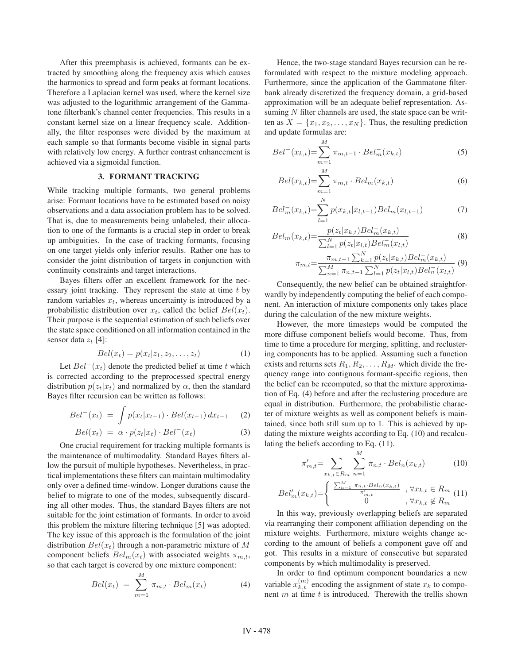After this preemphasis is achieved, formants can be extracted by smoothing along the frequency axis which causes the harmonics to spread and form peaks at formant locations. Therefore a Laplacian kernel was used, where the kernel size was adjusted to the logarithmic arrangement of the Gammatone filterbank's channel center frequencies. This results in a constant kernel size on a linear frequency scale. Additionally, the filter responses were divided by the maximum at each sample so that formants become visible in signal parts with relatively low energy. A further contrast enhancement is achieved via a sigmoidal function.

## 3. FORMANT TRACKING

While tracking multiple formants, two general problems arise: Formant locations have to be estimated based on noisy observations and a data association problem has to be solved. That is, due to measurements being unlabeled, their allocation to one of the formants is a crucial step in order to break up ambiguities. In the case of tracking formants, focusing on one target yields only inferior results. Rather one has to consider the joint distribution of targets in conjunction with continuity constraints and target interactions.

Bayes filters offer an excellent framework for the necessary joint tracking. They represent the state at time  $t$  by random variables  $x_t$ , whereas uncertainty is introduced by a probabilistic distribution over  $x_t$ , called the belief  $Bel(x_t)$ . Their purpose is the sequential estimation of such beliefs over the state space conditioned on all information contained in the sensor data  $z_t$  [4]:

$$
Bel(xt) = p(xt|z1, z2,..., zt)
$$
 (1)

Let  $Bel^{-}(x_t)$  denote the predicted belief at time t which is corrected according to the preprocessed spectral energy distribution  $p(z_t|x_t)$  and normalized by  $\alpha$ , then the standard Bayes filter recursion can be written as follows:

$$
Bel^{-}(x_t) = \int p(x_t | x_{t-1}) \cdot Bel(x_{t-1}) dx_{t-1} \quad (2)
$$

$$
Bel(x_t) = \alpha \cdot p(z_t|x_t) \cdot Bel^{-}(x_t)
$$
\n(3)

One crucial requirement for tracking multiple formants is the maintenance of multimodality. Standard Bayes filters allow the pursuit of multiple hypotheses. Nevertheless, in practical implementations these filters can maintain multimodality only over a defined time-window. Longer durations cause the belief to migrate to one of the modes, subsequently discarding all other modes. Thus, the standard Bayes filters are not suitable for the joint estimation of formants. In order to avoid this problem the mixture filtering technique [5] was adopted. The key issue of this approach is the formulation of the joint distribution  $Bel(x_t)$  through a non-parametric mixture of M component beliefs  $Bel_m(x_t)$  with associated weights  $\pi_{m,t}$ , so that each target is covered by one mixture component:

$$
Bel(x_t) = \sum_{m=1}^{M} \pi_{m,t} \cdot Bel_m(x_t)
$$
 (4)

Hence, the two-stage standard Bayes recursion can be reformulated with respect to the mixture modeling approach. Furthermore, since the application of the Gammatone filterbank already discretized the frequency domain, a grid-based approximation will be an adequate belief representation. Assuming  $N$  filter channels are used, the state space can be written as  $X = \{x_1, x_2, \ldots, x_N\}$ . Thus, the resulting prediction and update formulas are:

$$
Bel^{-}(x_{k,t}) = \sum_{m=1}^{M} \pi_{m,t-1} \cdot Bel_{m}^{-}(x_{k,t})
$$
\n(5)

$$
Bel(x_{k,t}) = \sum_{m=1}^{M} \pi_{m,t} \cdot Bel_m(x_{k,t})
$$
 (6)

$$
Bel_m^-(x_{k,t}) = \sum_{l=1}^N p(x_{k,t}|x_{l,t-1}) Bel_m(x_{l,t-1})
$$
 (7)

$$
Bel_m(x_{k,t}) = \frac{p(z_t|x_{k,t})Bel_m^-(x_{k,t})}{\sum_{l=1}^N p(z_t|x_{l,t}) Bel_m^-(x_{l,t})}
$$
(8)

$$
\pi_{m,t} = \frac{\pi_{m,t-1} \sum_{k=1}^{N} p(z_t | x_{k,t}) Bel_m^-(x_{k,t})}{\sum_{n=1}^{M} \pi_{n,t-1} \sum_{l=1}^{N} p(z_t | x_{l,t}) Bel_m^-(x_{l,t})} (9)
$$

Consequently, the new belief can be obtained straightforwardly by independently computing the belief of each component. An interaction of mixture components only takes place during the calculation of the new mixture weights.

However, the more timesteps would be computed the more diffuse component beliefs would become. Thus, from time to time a procedure for merging, splitting, and reclustering components has to be applied. Assuming such a function exists and returns sets  $R_1, R_2, \ldots, R_{M'}$  which divide the frequency range into contiguous formant-specific regions, then the belief can be recomputed, so that the mixture approximation of Eq. (4) before and after the reclustering procedure are equal in distribution. Furthermore, the probabilistic character of mixture weights as well as component beliefs is maintained, since both still sum up to 1. This is achieved by updating the mixture weights according to Eq. (10) and recalculating the beliefs according to Eq. (11).

$$
\pi'_{m,t} = \sum_{x_{k,t} \in R_m} \sum_{n=1}^{M} \pi_{n,t} \cdot Bel_n(x_{k,t}) \tag{10}
$$

$$
Bel'_m(x_{k,t}) = \begin{cases} \frac{\sum_{n=1}^{M} \pi_{n,t} \cdot Bel_n(x_{k,t})}{\pi'_{m,t}} & , \forall x_{k,t} \in R_m \\ 0 & , \forall x_{k,t} \notin R_m \end{cases}
$$
  
In this way, previously overlapping beliefs are separated

via rearranging their component affiliation depending on the mixture weights. Furthermore, mixture weights change according to the amount of beliefs a component gave off and got. This results in a mixture of consecutive but separated components by which multimodality is preserved.

In order to find optimum component boundaries a new variable  $x_{k,t}^{(m)}$  encoding the assignment of state  $x_k$  to component m at time t is introduced. Therewith the trellis shown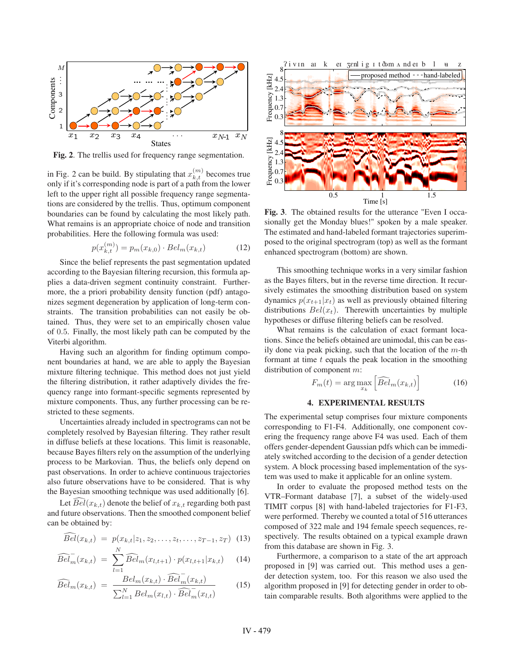

Fig. 2. The trellis used for frequency range segmentation.

in Fig. 2 can be build. By stipulating that  $x_{k,t}^{(m)}$  becomes true only if it's corresponding node is part of a path from the lower left to the upper right all possible frequency range segmentations are considered by the trellis. Thus, optimum component boundaries can be found by calculating the most likely path. What remains is an appropriate choice of node and transition probabilities. Here the following formula was used:

$$
p(x_{k,t}^{(m)}) = p_m(x_{k,0}) \cdot Bel_m(x_{k,t})
$$
 (12)

Since the belief represents the past segmentation updated according to the Bayesian filtering recursion, this formula applies a data-driven segment continuity constraint. Furthermore, the a priori probability density function (pdf) antagonizes segment degeneration by application of long-term constraints. The transition probabilities can not easily be obtained. Thus, they were set to an empirically chosen value of 0.5. Finally, the most likely path can be computed by the Viterbi algorithm.

Having such an algorithm for finding optimum component boundaries at hand, we are able to apply the Bayesian mixture filtering technique. This method does not just yield the filtering distribution, it rather adaptively divides the frequency range into formant-specific segments represented by mixture components. Thus, any further processing can be restricted to these segments.

Uncertainties already included in spectrograms can not be completely resolved by Bayesian filtering. They rather result in diffuse beliefs at these locations. This limit is reasonable, because Bayes filters rely on the assumption of the underlying process to be Markovian. Thus, the beliefs only depend on past observations. In order to achieve continuous trajectories also future observations have to be considered. That is why the Bayesian smoothing technique was used additionally [6].

Let  $Bel(x_{k,t})$  denote the belief of  $x_{k,t}$  regarding both past and future observations. Then the smoothed component belief can be obtained by:

$$
\widehat{Bel}(x_{k,t}) = p(x_{k,t}|z_1, z_2, \dots, z_t, \dots, z_{T-1}, z_T)
$$
 (13)

$$
\widehat{Bel}_m(x_{k,t}) = \sum_{l=1}^N \widehat{Bel}_m(x_{l,t+1}) \cdot p(x_{l,t+1}|x_{k,t}) \qquad (14)
$$

$$
\widehat{Bel}_{m}(x_{k,t}) = \frac{Bel_{m}(x_{k,t}) \cdot \widehat{Bel}_{m}^{-}(x_{k,t})}{\sum_{l=1}^{N} Bel_{m}(x_{l,t}) \cdot \widehat{Bel}_{m}^{-}(x_{l,t})}
$$
(15)



Fig. 3. The obtained results for the utterance "Even I occasionally get the Monday blues!" spoken by a male speaker. The estimated and hand-labeled formant trajectories superimposed to the original spectrogram (top) as well as the formant enhanced spectrogram (bottom) are shown.

This smoothing technique works in a very similar fashion as the Bayes filters, but in the reverse time direction. It recursively estimates the smoothing distribution based on system dynamics  $p(x_{t+1}|x_t)$  as well as previously obtained filtering distributions  $Bel(x_t)$ . Therewith uncertainties by multiple hypotheses or diffuse filtering beliefs can be resolved.

What remains is the calculation of exact formant locations. Since the beliefs obtained are unimodal, this can be easily done via peak picking, such that the location of the  $m$ -th formant at time  $t$  equals the peak location in the smoothing distribution of component m:

$$
F_m(t) = \arg\max_{x_k} \left[ \widehat{Bel}_m(x_{k,t}) \right] \tag{16}
$$

#### **4. EXPERIMENTAL RESULTS**  $\ddots$  experimental results for  $\ddot{\theta}$

The experimental setup comprises four mixture components corresponding to F1-F4. Additionally, one component covering the frequency range above F4 was used. Each of them offers gender-dependent Gaussian pdfs which can be immediately switched according to the decision of a gender detection system. A block processing based implementation of the system was used to make it applicable for an online system.

In order to evaluate the proposed method tests on the VTR–Formant database [7], a subset of the widely-used TIMIT corpus [8] with hand-labeled trajectories for F1-F3, were performed. Thereby we counted a total of 516 utterances composed of 322 male and 194 female speech sequences, respectively. The results obtained on a typical example drawn from this database are shown in Fig. 3.

Furthermore, a comparison to a state of the art approach proposed in [9] was carried out. This method uses a gender detection system, too. For this reason we also used the algorithm proposed in [9] for detecting gender in order to obtain comparable results. Both algorithms were applied to the